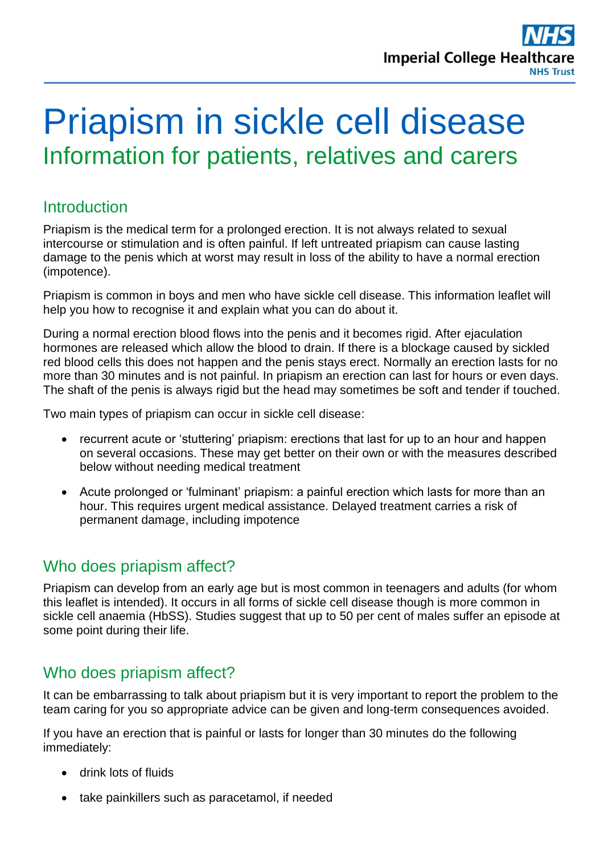

# Priapism in sickle cell disease Information for patients, relatives and carers

#### **Introduction**

Priapism is the medical term for a prolonged erection. It is not always related to sexual intercourse or stimulation and is often painful. If left untreated priapism can cause lasting damage to the penis which at worst may result in loss of the ability to have a normal erection (impotence).

Priapism is common in boys and men who have sickle cell disease. This information leaflet will help you how to recognise it and explain what you can do about it.

During a normal erection blood flows into the penis and it becomes rigid. After ejaculation hormones are released which allow the blood to drain. If there is a blockage caused by sickled red blood cells this does not happen and the penis stays erect. Normally an erection lasts for no more than 30 minutes and is not painful. In priapism an erection can last for hours or even days. The shaft of the penis is always rigid but the head may sometimes be soft and tender if touched.

Two main types of priapism can occur in sickle cell disease:

- recurrent acute or 'stuttering' priapism: erections that last for up to an hour and happen on several occasions. These may get better on their own or with the measures described below without needing medical treatment
- Acute prolonged or 'fulminant' priapism: a painful erection which lasts for more than an hour. This requires urgent medical assistance. Delayed treatment carries a risk of permanent damage, including impotence

## Who does priapism affect?

Priapism can develop from an early age but is most common in teenagers and adults (for whom this leaflet is intended). It occurs in all forms of sickle cell disease though is more common in sickle cell anaemia (HbSS). Studies suggest that up to 50 per cent of males suffer an episode at some point during their life.

## Who does priapism affect?

It can be embarrassing to talk about priapism but it is very important to report the problem to the team caring for you so appropriate advice can be given and long-term consequences avoided.

If you have an erection that is painful or lasts for longer than 30 minutes do the following immediately:

- drink lots of fluids
- take painkillers such as paracetamol, if needed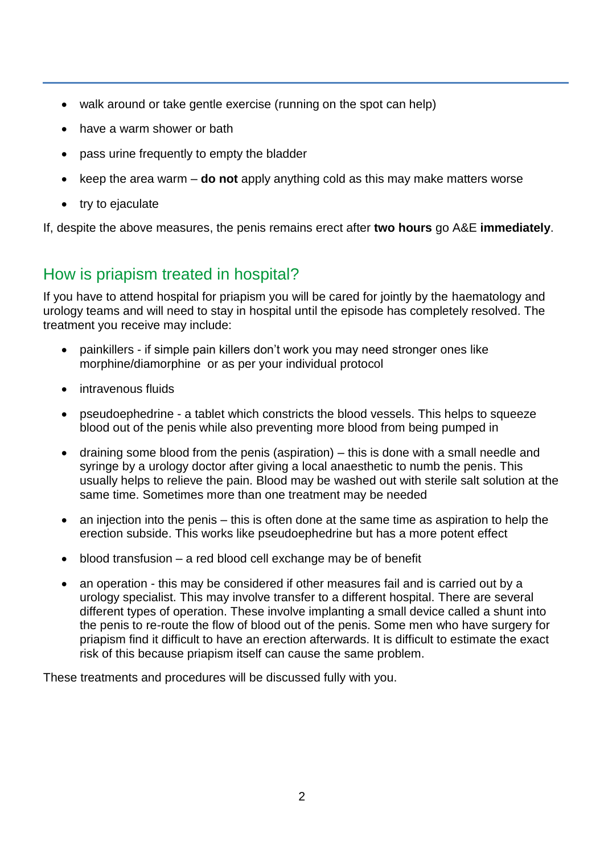- walk around or take gentle exercise (running on the spot can help)
- have a warm shower or bath
- pass urine frequently to empty the bladder
- keep the area warm **do not** apply anything cold as this may make matters worse
- try to ejaculate

If, despite the above measures, the penis remains erect after **two hours** go A&E **immediately**.

## How is priapism treated in hospital?

If you have to attend hospital for priapism you will be cared for jointly by the haematology and urology teams and will need to stay in hospital until the episode has completely resolved. The treatment you receive may include:

- painkillers if simple pain killers don't work you may need stronger ones like morphine/diamorphine or as per your individual protocol
- intravenous fluids
- pseudoephedrine a tablet which constricts the blood vessels. This helps to squeeze blood out of the penis while also preventing more blood from being pumped in
- draining some blood from the penis (aspiration) this is done with a small needle and syringe by a urology doctor after giving a local anaesthetic to numb the penis. This usually helps to relieve the pain. Blood may be washed out with sterile salt solution at the same time. Sometimes more than one treatment may be needed
- an injection into the penis this is often done at the same time as aspiration to help the erection subside. This works like pseudoephedrine but has a more potent effect
- blood transfusion a red blood cell exchange may be of benefit
- an operation this may be considered if other measures fail and is carried out by a urology specialist. This may involve transfer to a different hospital. There are several different types of operation. These involve implanting a small device called a shunt into the penis to re-route the flow of blood out of the penis. Some men who have surgery for priapism find it difficult to have an erection afterwards. It is difficult to estimate the exact risk of this because priapism itself can cause the same problem.

These treatments and procedures will be discussed fully with you.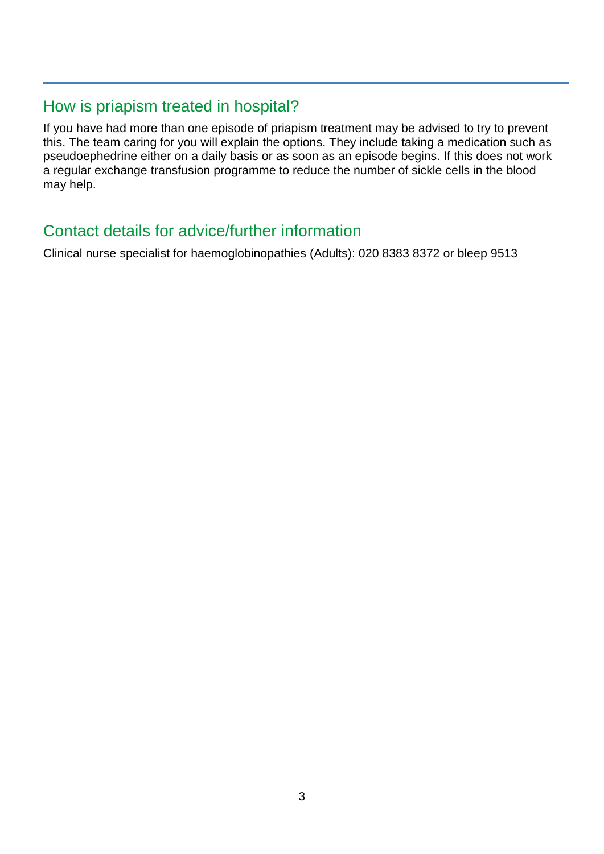## How is priapism treated in hospital?

If you have had more than one episode of priapism treatment may be advised to try to prevent this. The team caring for you will explain the options. They include taking a medication such as pseudoephedrine either on a daily basis or as soon as an episode begins. If this does not work a regular exchange transfusion programme to reduce the number of sickle cells in the blood may help.

## Contact details for advice/further information

Clinical nurse specialist for haemoglobinopathies (Adults): 020 8383 8372 or bleep 9513